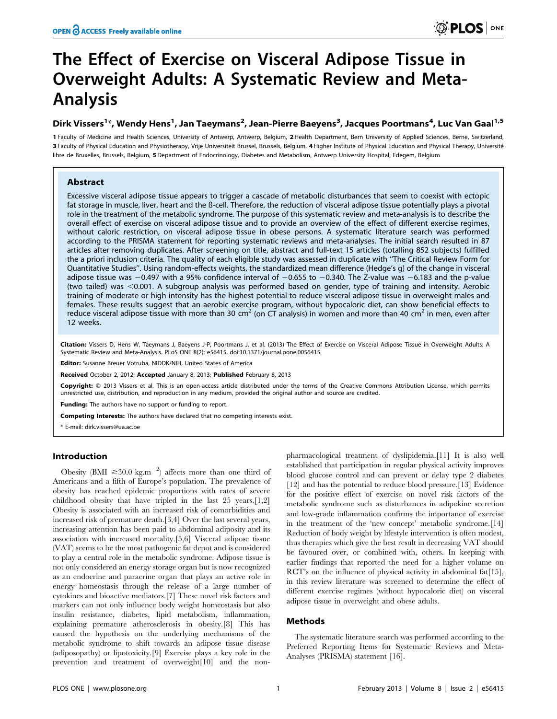# The Effect of Exercise on Visceral Adipose Tissue in Overweight Adults: A Systematic Review and Meta-Analysis

# Dirk Vissers<sup>1</sup>\*, Wendy Hens<sup>1</sup>, Jan Taeymans<sup>2</sup>, Jean-Pierre Baeyens<sup>3</sup>, Jacques Poortmans<sup>4</sup>, Luc Van Gaal<sup>1,5</sup>

1 Faculty of Medicine and Health Sciences, University of Antwerp, Antwerp, Belgium, 2Health Department, Bern University of Applied Sciences, Berne, Switzerland, 3 Faculty of Physical Education and Physiotherapy, Vrije Universiteit Brussel, Brussels, Belgium, 4 Higher Institute of Physical Education and Physical Therapy, Université libre de Bruxelles, Brussels, Belgium, 5 Department of Endocrinology, Diabetes and Metabolism, Antwerp University Hospital, Edegem, Belgium

# Abstract

Excessive visceral adipose tissue appears to trigger a cascade of metabolic disturbances that seem to coexist with ectopic fat storage in muscle, liver, heart and the ß-cell. Therefore, the reduction of visceral adipose tissue potentially plays a pivotal role in the treatment of the metabolic syndrome. The purpose of this systematic review and meta-analysis is to describe the overall effect of exercise on visceral adipose tissue and to provide an overview of the effect of different exercise regimes, without caloric restriction, on visceral adipose tissue in obese persons. A systematic literature search was performed according to the PRISMA statement for reporting systematic reviews and meta-analyses. The initial search resulted in 87 articles after removing duplicates. After screening on title, abstract and full-text 15 articles (totalling 852 subjects) fulfilled the a priori inclusion criteria. The quality of each eligible study was assessed in duplicate with ''The Critical Review Form for Quantitative Studies''. Using random-effects weights, the standardized mean difference (Hedge's g) of the change in visceral adipose tissue was  $-0.497$  with a 95% confidence interval of  $-0.655$  to  $-0.340$ . The Z-value was  $-6.183$  and the p-value (two tailed) was  $<$ 0.001. A subgroup analysis was performed based on gender, type of training and intensity. Aerobic training of moderate or high intensity has the highest potential to reduce visceral adipose tissue in overweight males and females. These results suggest that an aerobic exercise program, without hypocaloric diet, can show beneficial effects to reduce visceral adipose tissue with more than 30 cm<sup>2</sup> (on CT analysis) in women and more than 40 cm<sup>2</sup> in men, even after 12 weeks.

Citation: Vissers D, Hens W, Taeymans J, Baeyens J-P, Poortmans J, et al. (2013) The Effect of Exercise on Visceral Adipose Tissue in Overweight Adults: A Systematic Review and Meta-Analysis. PLoS ONE 8(2): e56415. doi:10.1371/journal.pone.0056415

Editor: Susanne Breuer Votruba, NIDDK/NIH, United States of America

Received October 2, 2012; Accepted January 8, 2013; Published February 8, 2013

Copyright: © 2013 Vissers et al. This is an open-access article distributed under the terms of the Creative Commons Attribution License, which permits unrestricted use, distribution, and reproduction in any medium, provided the original author and source are credited.

Funding: The authors have no support or funding to report.

Competing Interests: The authors have declared that no competing interests exist.

\* E-mail: dirk.vissers@ua.ac.be

# Introduction

Obesity (BMI  $\geq 30.0 \text{ kg.m}^{-2}$ ) affects more than one third of Americans and a fifth of Europe's population. The prevalence of obesity has reached epidemic proportions with rates of severe childhood obesity that have tripled in the last 25 years.[1,2] Obesity is associated with an increased risk of comorbidities and increased risk of premature death.[3,4] Over the last several years, increasing attention has been paid to abdominal adiposity and its association with increased mortality.[5,6] Visceral adipose tissue (VAT) seems to be the most pathogenic fat depot and is considered to play a central role in the metabolic syndrome. Adipose tissue is not only considered an energy storage organ but is now recognized as an endocrine and paracrine organ that plays an active role in energy homeostasis through the release of a large number of cytokines and bioactive mediators.[7] These novel risk factors and markers can not only influence body weight homeostasis but also insulin resistance, diabetes, lipid metabolism, inflammation, explaining premature atherosclerosis in obesity.[8] This has caused the hypothesis on the underlying mechanisms of the metabolic syndrome to shift towards an adipose tissue disease (adiposopathy) or lipotoxicity.[9] Exercise plays a key role in the prevention and treatment of overweight[10] and the nonpharmacological treatment of dyslipidemia.[11] It is also well established that participation in regular physical activity improves blood glucose control and can prevent or delay type 2 diabetes [12] and has the potential to reduce blood pressure.[13] Evidence for the positive effect of exercise on novel risk factors of the metabolic syndrome such as disturbances in adipokine secretion and low-grade inflammation confirms the importance of exercise in the treatment of the 'new concept' metabolic syndrome.[14] Reduction of body weight by lifestyle intervention is often modest, thus therapies which give the best result in decreasing VAT should be favoured over, or combined with, others. In keeping with earlier findings that reported the need for a higher volume on RCT's on the influence of physical activity in abdominal fat<sup>[15]</sup>, in this review literature was screened to determine the effect of different exercise regimes (without hypocaloric diet) on visceral adipose tissue in overweight and obese adults.

# Methods

The systematic literature search was performed according to the Preferred Reporting Items for Systematic Reviews and Meta-Analyses (PRISMA) statement [16].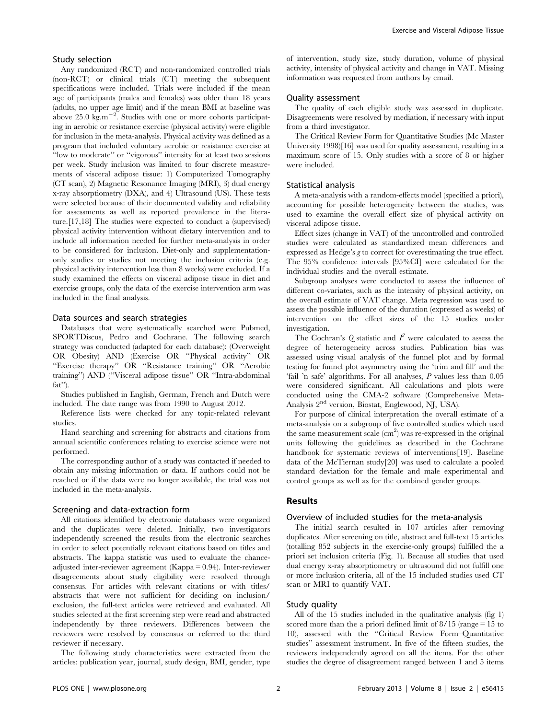#### Study selection

Any randomized (RCT) and non-randomized controlled trials (non-RCT) or clinical trials (CT) meeting the subsequent specifications were included. Trials were included if the mean age of participants (males and females) was older than 18 years (adults, no upper age limit) and if the mean BMI at baseline was above  $25.0 \text{ kg.m}^{-2}$ . Studies with one or more cohorts participating in aerobic or resistance exercise (physical activity) were eligible for inclusion in the meta-analysis. Physical activity was defined as a program that included voluntary aerobic or resistance exercise at ''low to moderate'' or ''vigorous'' intensity for at least two sessions per week. Study inclusion was limited to four discrete measurements of visceral adipose tissue: 1) Computerized Tomography (CT scan), 2) Magnetic Resonance Imaging (MRI), 3) dual energy x-ray absorptiometry (DXA), and 4) Ultrasound (US). These tests were selected because of their documented validity and reliability for assessments as well as reported prevalence in the literature.[17,18] The studies were expected to conduct a (supervised) physical activity intervention without dietary intervention and to include all information needed for further meta-analysis in order to be considered for inclusion. Diet-only and supplementationonly studies or studies not meeting the inclusion criteria (e.g. physical activity intervention less than 8 weeks) were excluded. If a study examined the effects on visceral adipose tissue in diet and exercise groups, only the data of the exercise intervention arm was included in the final analysis.

#### Data sources and search strategies

Databases that were systematically searched were Pubmed, SPORTDiscus, Pedro and Cochrane. The following search strategy was conducted (adapted for each database): (Overweight OR Obesity) AND (Exercise OR ''Physical activity'' OR ''Exercise therapy'' OR ''Resistance training'' OR ''Aerobic training'') AND (''Visceral adipose tissue'' OR ''Intra-abdominal fat'').

Studies published in English, German, French and Dutch were included. The date range was from 1990 to August 2012.

Reference lists were checked for any topic-related relevant studies.

Hand searching and screening for abstracts and citations from annual scientific conferences relating to exercise science were not performed.

The corresponding author of a study was contacted if needed to obtain any missing information or data. If authors could not be reached or if the data were no longer available, the trial was not included in the meta-analysis.

#### Screening and data-extraction form

All citations identified by electronic databases were organized and the duplicates were deleted. Initially, two investigators independently screened the results from the electronic searches in order to select potentially relevant citations based on titles and abstracts. The kappa statistic was used to evaluate the chanceadjusted inter-reviewer agreement (Kappa = 0.94). Inter-reviewer disagreements about study eligibility were resolved through consensus. For articles with relevant citations or with titles/ abstracts that were not sufficient for deciding on inclusion/ exclusion, the full-text articles were retrieved and evaluated. All studies selected at the first screening step were read and abstracted independently by three reviewers. Differences between the reviewers were resolved by consensus or referred to the third reviewer if necessary.

The following study characteristics were extracted from the articles: publication year, journal, study design, BMI, gender, type

of intervention, study size, study duration, volume of physical activity, intensity of physical activity and change in VAT. Missing information was requested from authors by email.

#### Quality assessment

The quality of each eligible study was assessed in duplicate. Disagreements were resolved by mediation, if necessary with input from a third investigator.

The Critical Review Form for Quantitative Studies (Mc Master University 1998)[16] was used for quality assessment, resulting in a maximum score of 15. Only studies with a score of 8 or higher were included.

# Statistical analysis

A meta-analysis with a random-effects model (specified a priori), accounting for possible heterogeneity between the studies, was used to examine the overall effect size of physical activity on visceral adipose tissue.

Effect sizes (change in VAT) of the uncontrolled and controlled studies were calculated as standardized mean differences and expressed as Hedge's g to correct for overestimating the true effect. The 95% confidence intervals [95%CI] were calculated for the individual studies and the overall estimate.

Subgroup analyses were conducted to assess the influence of different co-variates, such as the intensity of physical activity, on the overall estimate of VAT change. Meta regression was used to assess the possible influence of the duration (expressed as weeks) of intervention on the effect sizes of the 15 studies under investigation.

The Cochran's Q statistic and  $I^2$  were calculated to assess the degree of heterogeneity across studies. Publication bias was assessed using visual analysis of the funnel plot and by formal testing for funnel plot asymmetry using the 'trim and fill' and the 'fail 'n safe' algorithms. For all analyses, P values less than 0.05 were considered significant. All calculations and plots were conducted using the CMA-2 software (Comprehensive Meta-Analysis 2<sup>nd</sup> version, Biostat, Englewood, NJ, USA).

For purpose of clinical interpretation the overall estimate of a meta-analysis on a subgroup of five controlled studies which used the same measurement scale (cm<sup>2</sup>) was re-expressed in the original units following the guidelines as described in the Cochrane handbook for systematic reviews of interventions[19]. Baseline data of the McTiernan study[20] was used to calculate a pooled standard deviation for the female and male experimental and control groups as well as for the combined gender groups.

# Results

### Overview of included studies for the meta-analysis

The initial search resulted in 107 articles after removing duplicates. After screening on title, abstract and full-text 15 articles (totalling 852 subjects in the exercise-only groups) fulfilled the a priori set inclusion criteria (Fig. 1). Because all studies that used dual energy x-ray absorptiometry or ultrasound did not fulfill one or more inclusion criteria, all of the 15 included studies used CT scan or MRI to quantify VAT.

#### Study quality

All of the 15 studies included in the qualitative analysis (fig 1) scored more than the a priori defined limit of 8/15 (range = 15 to 10), assessed with the ''Critical Review Form–Quantitative studies'' assessment instrument. In five of the fifteen studies, the reviewers independently agreed on all the items. For the other studies the degree of disagreement ranged between 1 and 5 items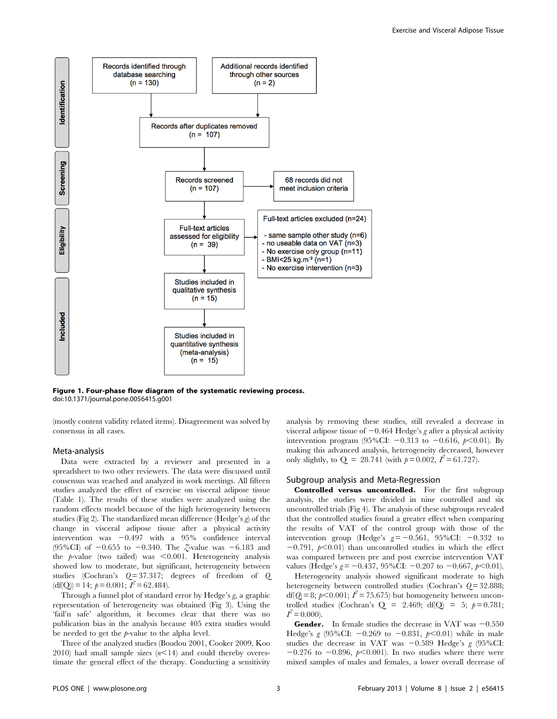

Figure 1. Four-phase flow diagram of the systematic reviewing process. doi:10.1371/journal.pone.0056415.g001

(mostly content validity related items). Disagreement was solved by consensus in all cases.

# Meta-analysis

Data were extracted by a reviewer and presented in a spreadsheet to two other reviewers. The data were discussed until consensus was reached and analyzed in work meetings. All fifteen studies analyzed the effect of exercise on visceral adipose tissue (Table 1). The results of these studies were analyzed using the random effects model because of the high heterogeneity between studies (Fig 2). The standardized mean difference (Hedge's g) of the change in visceral adipose tissue after a physical activity intervention was  $-0.497$  with a  $95\%$  confidence interval (95%CI) of  $-0.655$  to  $-0.340$ . The  $\zeta$ -value was  $-6.183$  and the  $p$ -value (two tailed) was  $< 0.001$ . Heterogeneity analysis showed low to moderate, but significant, heterogeneity between studies (Cochran's Q= 37.317; degrees of freedom of Q  $\text{(df(Q))} = 14$ ;  $p = 0.001$ ;  $I^2 = 62.484$ ).

Through a funnel plot of standard error by Hedge's g, a graphic representation of heterogeneity was obtained (Fig 3). Using the 'fail'n safe' algorithm, it becomes clear that there was no publication bias in the analysis because 405 extra studies would be needed to get the p-value to the alpha level.

Three of the analyzed studies (Boudou 2001, Cooker 2009, Koo 2010) had small sample sizes  $(n<14)$  and could thereby overestimate the general effect of the therapy. Conducting a sensitivity analysis by removing these studies, still revealed a decrease in visceral adipose tissue of  $-0.464$  Hedge's g after a physical activity intervention program (95%CI:  $-0.313$  to  $-0.616$ ,  $p<0.01$ ). By making this advanced analysis, heterogeneity decreased, however only slightly, to Q = 28.741 (with  $p = 0.002$ ,  $I^2 = 61.727$ ).

# Subgroup analysis and Meta-Regression

Controlled versus uncontrolled. For the first subgroup analysis, the studies were divided in nine controlled and six uncontrolled trials (Fig 4). The analysis of these subgroups revealed that the controlled studies found a greater effect when comparing the results of VAT of the control group with those of the intervention group (Hedge's  $g = -0.561$ , 95%CI:  $-0.332$  to  $-0.791$ ,  $p<0.01$ ) than uncontrolled studies in which the effect was compared between pre and post exercise intervention VAT values (Hedge's  $g = -0.437$ , 95%CI:  $-0.207$  to  $-0.667$ ,  $p < 0.01$ ).

Heterogeneity analysis showed significant moderate to high heterogeneity between controlled studies (Cochran's  $Q = 32.888$ ;  $df(Q) = 8$ ;  $p < 0.001$ ;  $I^2 = 75.675$ ) but homogeneity between uncontrolled studies (Cochran's  $Q = 2.469$ ; df( $Q = 5$ ;  $p = 0.781$ ;  $I^2 = 0.000$ ).

**Gender.** In female studies the decrease in VAT was  $-0.550$ Hedge's g  $(95\% CI: -0.269$  to  $-0.831, p<0.01$ ) while in male studies the decrease in VAT was  $-0.589$  Hedge's g (95%CI:  $-0.276$  to  $-0.896$ ,  $p<0.001$ ). In two studies where there were mixed samples of males and females, a lower overall decrease of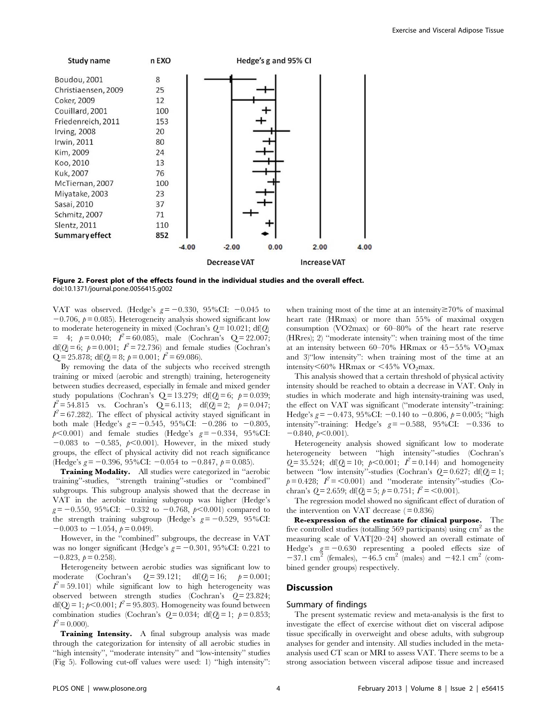

Figure 2. Forest plot of the effects found in the individual studies and the overall effect. doi:10.1371/journal.pone.0056415.g002

VAT was observed. (Hedge's  $g = -0.330$ , 95%CI:  $-0.045$  to  $-0.706$ ,  $p = 0.085$ ). Heterogeneity analysis showed significant low to moderate heterogeneity in mixed (Cochran's  $Q = 10.021$ ; df( $Q$ )  $= 4; p = 0.040; I^2 = 60.085$ , male (Cochran's Q = 22.007; df(Q) = 6;  $p = 0.001$ ;  $I^2 = 72.736$ ) and female studies (Cochran's  $Q = 25.878$ ; df( $Q = 8$ ;  $p = 0.001$ ;  $I^2 = 69.086$ ).

By removing the data of the subjects who received strength training or mixed (aerobic and strength) training, heterogeneity between studies decreased, especially in female and mixed gender study populations (Cochran's  $Q = 13.279$ ; df( $Q = 6$ ;  $p = 0.039$ ;  $I^2 = 54.815$  vs. Cochran's Q = 6.113; df(Q) = 2;  $p = 0.047$ ;  $I^2$  = 67.282). The effect of physical activity stayed significant in both male (Hedge's  $g = -0.545$ , 95%CI:  $-0.286$  to  $-0.805$ ,  $p<0.001$ ) and female studies (Hedge's  $g = -0.334$ , 95%CI:  $-0.083$  to  $-0.585$ ,  $p<0.001$ ). However, in the mixed study groups, the effect of physical activity did not reach significance (Hedge's  $g = -0.396$ , 95%CI:  $-0.054$  to  $-0.847$ ,  $p = 0.085$ ).

Training Modality. All studies were categorized in "aerobic training''-studies, ''strength training''-studies or ''combined'' subgroups. This subgroup analysis showed that the decrease in VAT in the aerobic training subgroup was higher (Hedge's  $g = -0.550$ , 95%CI:  $-0.332$  to  $-0.768$ ,  $p<0.001$ ) compared to the strength training subgroup (Hedge's  $g = -0.529$ , 95%CI:  $-0.003$  to  $-1.054$ ,  $p = 0.049$ ).

However, in the ''combined'' subgroups, the decrease in VAT was no longer significant (Hedge's  $g = -0.301$ , 95%CI: 0.221 to  $-0.823, p= 0.258$ ).

Heterogeneity between aerobic studies was significant low to moderate (Cochran's  $Q = 39.121$ ; df( $Q = 16$ ;  $p = 0.001$ ;  $I^2$  = 59.101) while significant low to high heterogeneity was observed between strength studies (Cochran's  $Q = 23.824$ ; df(Q) = 1;  $p$ <0.001;  $I^2$  = 95.803). Homogeneity was found between combination studies (Cochran's  $Q=0.034$ ; df( $Q=1$ ;  $p=0.853$ ;  $I^2 = 0.000$ ).

Training Intensity. A final subgroup analysis was made through the categorization for intensity of all aerobic studies in ''high intensity'', ''moderate intensity'' and ''low-intensity'' studies (Fig 5). Following cut-off values were used: 1) ''high intensity'': when training most of the time at an intensity  $\geq 70\%$  of maximal heart rate (HRmax) or more than 55% of maximal oxygen consumption (VO2max) or 60–80% of the heart rate reserve (HRres); 2) ''moderate intensity'': when training most of the time at an intensity between 60–70% HRmax or  $45-55\%$  VO<sub>2</sub>max and 3)''low intensity'': when training most of the time at an intensity $<60\%$  HRmax or  $<45\%$  VO<sub>2</sub>max.

This analysis showed that a certain threshold of physical activity intensity should be reached to obtain a decrease in VAT. Only in studies in which moderate and high intensity-training was used, the effect on VAT was significant (''moderate intensity''-training: Hedge's  $g = -0.473$ , 95%CI:  $-0.140$  to  $-0.806$ ,  $p = 0.005$ ; "high intensity"-training: Hedge's  $g = -0.588$ , 95%CI:  $-0.336$  to  $-0.840, p<0.001$ .

Heterogeneity analysis showed significant low to moderate heterogeneity between ''high intensity''-studies (Cochran's  $Q = 35.524$ ; df( $Q = 10$ ;  $p < 0.001$ ;  $I^2 = 0.144$ ) and homogeneity between "low intensity"-studies (Cochran's  $Q = 0.627$ ; df( $Q = 1$ ;  $p= 0.428;$   $I^2 = <0.001$ ) and "moderate intensity"-studies (Cochran's  $Q = 2.659$ ; df( $Q = 5$ ;  $p = 0.751$ ;  $I^2 = 0.001$ ).

The regression model showed no significant effect of duration of the intervention on VAT decrease  $(=0.836)$ 

Re-expression of the estimate for clinical purpose. The five controlled studies (totalling 569 participants) using  $\text{cm}^2$  as the measuring scale of VAT[20–24] showed an overall estimate of Hedge's  $g = -0.630$  representing a pooled effects size of  $-37.1$  cm<sup>2</sup> (females),  $-46.5$  cm<sup>2</sup> (males) and  $-42.1$  cm<sup>2</sup> (combined gender groups) respectively.

#### **Discussion**

# Summary of findings

The present systematic review and meta-analysis is the first to investigate the effect of exercise without diet on visceral adipose tissue specifically in overweight and obese adults, with subgroup analyses for gender and intensity. All studies included in the metaanalysis used CT scan or MRI to assess VAT. There seems to be a strong association between visceral adipose tissue and increased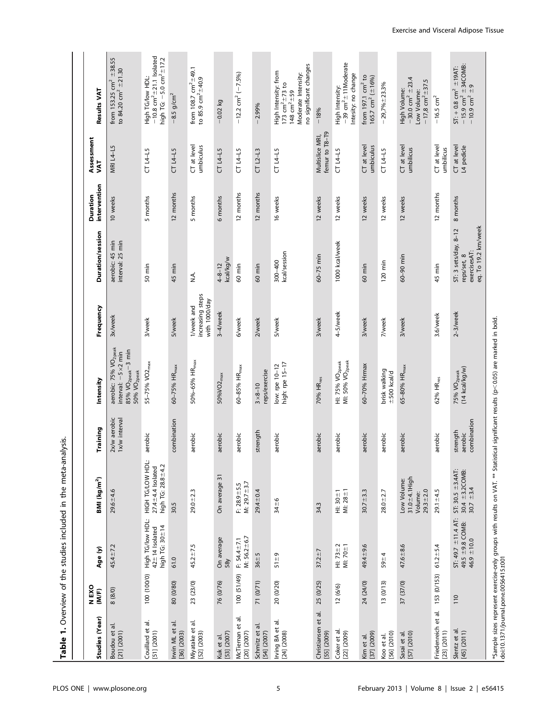| " of the studies included in the meta-analycie |
|------------------------------------------------|
|                                                |
|                                                |
|                                                |
|                                                |
|                                                |
|                                                |
| こここ                                            |
|                                                |
|                                                |

| Studies (Year)                     | N EXO<br>(M/F) | Age (y)                                                        | BMI (kg/m <sup>2</sup> )                                          | Training                           | Intensity                                                                                                                                                                   | Frequency                                       | Duration/session                                                           | intervention<br>Duration | Assessment<br>JAT                 | <b>Results VAT</b>                                                                                                 |
|------------------------------------|----------------|----------------------------------------------------------------|-------------------------------------------------------------------|------------------------------------|-----------------------------------------------------------------------------------------------------------------------------------------------------------------------------|-------------------------------------------------|----------------------------------------------------------------------------|--------------------------|-----------------------------------|--------------------------------------------------------------------------------------------------------------------|
| Boudou et al<br>[21] (2001)        | 8(8/0)         | $45.4 \pm 7.2$                                                 | $29.6 + 4.6$                                                      | 2x/w aerobic<br>Ix/w interval      | aerobic: 75% VO <sub>2peak</sub><br>$85%$ VO <sub>2peak</sub> $-3$ min<br>interval: $-5 \times 2$ min<br>$50\%$ VO <sub>2peak</sub>                                         | 3x/week                                         | interval: 25 min<br>aerobic: 45 min                                        | 10 weeks                 | MRI L4-L5                         | from 153.25 $cm^2$ $\pm$ 38.55<br>to 84.20 $cm^2 \pm 21.30$                                                        |
| Couillard et al.<br>[51] (2001)    | 100 (100/0)    | High TG/low HDL:<br>high TG: 30 ± 14<br>$42 \pm 14$ Isolated   | HIGH TG/LOW HDL:<br>high TG: 28.8 ±4.2<br>$27.4 \pm 4.4$ Isolated | aerobic                            | 55-75% VO2 <sub>max</sub>                                                                                                                                                   | 3/week                                          | 50 min                                                                     | 5 months                 | $CT L4 - L5$                      | $-10.8$ cm <sup>2</sup> $\pm$ 21.1 lsolated<br>high TG: $-5.0$ cm <sup>2</sup> $\pm$ 17.2<br>High TG/low HDL:      |
| ಕ<br>Irwin ML et<br>[36] (2003)    | 80 (0/80)      | 61.0                                                           | 30.5                                                              | combination                        | 60-75% HR <sub>max</sub>                                                                                                                                                    | 5/week                                          | 45 min                                                                     | 12 months                | $CT L4 - L5$                      | $-8.5$ g/cm <sup>2</sup>                                                                                           |
| Miyatake et al.<br>[52] (2003)     | 23 (23/0)      | $45.2 \pm 7.5$                                                 | $29.0 \pm 2.3$                                                    | aerobic                            | 50%-65% HR <sub>max</sub>                                                                                                                                                   | increasing steps<br>with 1000/day<br>I/week and | ان<br>ا                                                                    | 5 months                 | CT at level<br>umbiculus          | from 108.7 $cm^2$ $\pm$ 49.1<br>to 85.9 $cm^2 \pm 40.9$                                                            |
| [53] (2007)<br>Kuk et al.          | 76 (0/76)      | On average<br>58y                                              | On average 31                                                     | aerobic                            | 50%VO2 <sub>max</sub>                                                                                                                                                       | 3-4/week                                        | kcal/kg/w<br>$4 - 8 - 12$                                                  | 6 months                 | $CT L4 - L5$                      | $-0.02$ kg                                                                                                         |
| McTiernan et al.<br>[20] (2007)    | 100 (51/49)    | M: $56.2 \pm 6.7$<br>$F: 54.4 + 7.1$                           | M: $29.7 + 3.7$<br>$F: 28.9 + 5.5$                                | aerobic                            | 60-85% HR <sub>max</sub>                                                                                                                                                    | 6/week                                          | 60 min                                                                     | 12 months                | $CT14-15$                         | $-12.2$ cm <sup>2</sup> $(-7.5\%)$                                                                                 |
| Schmitz et al<br>[54] (2007)       | 71 (0/71)      | $36 + 5$                                                       | $29.4 \pm 0.4$                                                    | strength                           | reps/exercise<br>$3 \times 8 - 10$                                                                                                                                          | 2/week                                          | 60 min                                                                     | 12 months                | $CT L2 - L3$                      | $-2.99%$                                                                                                           |
| Irving BA et al.<br>[24] (2008)    | 20 (0/20)      | $51 + 9$                                                       | $34 + 6$                                                          | aerobic                            | high: rpe 15-17<br>low: rpe 10-12                                                                                                                                           | 5/week                                          | kcal/session<br>$300 - 400$                                                | 16 weeks                 | $CT L4 - L5$                      | no significant changes<br>High Intensity: from<br>Moderate Intensity:<br>173 $cm^2 \pm 73$ to<br>148 $cm^2 \pm 59$ |
| Christiansen et al.<br>[55] (2009) | 25 (0/25)      | $37.2 + 7$                                                     | 34.3                                                              | aerobic                            | 70% HR <sub>res</sub>                                                                                                                                                       | 3/week                                          | $60 - 75$ min                                                              | 12 weeks                 | femur to T8-T9<br>Multislice MRI, | $-18%$                                                                                                             |
| Coker et al.<br>[22] (2009)        | 12(6/6)        | MI: $70 \pm 1$<br>$H1: 73 + 2$                                 | MI: $28 + 1$<br>HI: $30 \pm 1$                                    | aerobic                            | MI: 50% VO <sub>2peak</sub><br>HI: 75% VO <sub>2peak</sub>                                                                                                                  | 4-5/week                                        | 1000 kcal/week                                                             | 12 weeks                 | $CT L4 - L5$                      | $-39$ cm <sup>2</sup> $\pm$ 11Moderate<br>Intesity: no change<br>High Intensity:                                   |
| [37] (2009)<br>Kim et al.          | 24 (24/0)      | 49.4 ± 9.6                                                     | $30.7 \pm 3.3$                                                    | aerobic                            | 60-70% Hrmax                                                                                                                                                                | 3/week                                          | 60 min                                                                     | 12 weeks                 | CT at level<br>umbiculus          | from 197.1 $cm2$ to<br>165.7 $cm2$ ( $\pm$ 16%)                                                                    |
| [56] (2010)<br>Koo et al.          | 13(0/13)       | $59 + 4$                                                       | $28.0 + 2.7$                                                      | aerobic                            | brisk walking<br>$\pm 500$ kcal/d                                                                                                                                           | 7/week                                          | 120 min                                                                    | 12 weeks                 | $CT L4 - L5$                      | $-29,7% \pm 23.3%$                                                                                                 |
| Sasai et al.<br>[57] (2010)        | 37 (37/0)      | $47.6 + 8.6$                                                   | $31.0 + 4.1$ High<br>Low Volume:<br>$29.3 + 2.0$<br>Volume:       | aerobic                            | 65-80% HR <sub>max</sub>                                                                                                                                                    | 3/week                                          | $60-90$ min                                                                | 12 weeks                 | CT at level<br>umbilicus          | $-30.0$ cm <sup>2</sup> $\pm$ 23.4<br>$-17,8$ cm <sup>2</sup> $\pm$ 37.5<br>High Volume:<br>Low Volume:            |
| Friedenreich et al.<br>[23] (2011) | 153 (0/153)    | $61.2 \pm 5.4$                                                 | $29.1 \pm 4.5$                                                    | aerobic                            | 62% HR <sub>res</sub>                                                                                                                                                       | 3.6/week                                        | 45 min                                                                     | 12 months                | CT at level<br>umbilicus          | $-16.5$ cm <sup>2</sup>                                                                                            |
| Slentz et al.<br>[45] (2011)       | $\frac{1}{10}$ | $ST: 49.7 \pm 11.4 A T:$<br>49.5 ±9.8 COMB:<br>46.9 $\pm$ 10.0 | $ST: 30.5 \pm 3.4AT$<br>$30.4 \pm 3.2$ COMB:<br>$30.7 + 3.4$      | combination<br>strength<br>aerobic | (14 kcal/kg/w)<br>75% VO <sub>2peak</sub>                                                                                                                                   | $2-3$ /week                                     | eq. To 19.2 km/week<br>ST: 3 sets/day, 8-12<br>exercisesAT:<br>reps/set, 8 | 8 months                 | CT at level<br>L4 pedicle         | $-15.9$ cm <sup>2</sup> $\pm$ 34COMB:<br>-10.9 cm <sup>2</sup> $\pm$ 9<br>$ST + 0.8$ cm <sup>2</sup> $\pm$ 19AT:   |
|                                    |                |                                                                |                                                                   |                                    | *Sample sizes represent exercise-only groups with results on VAT. ** Statistical significant results (p<0.05) are marked in bold.<br> doi:10.1371/journal.pone.0056415.t001 |                                                 |                                                                            |                          |                                   |                                                                                                                    |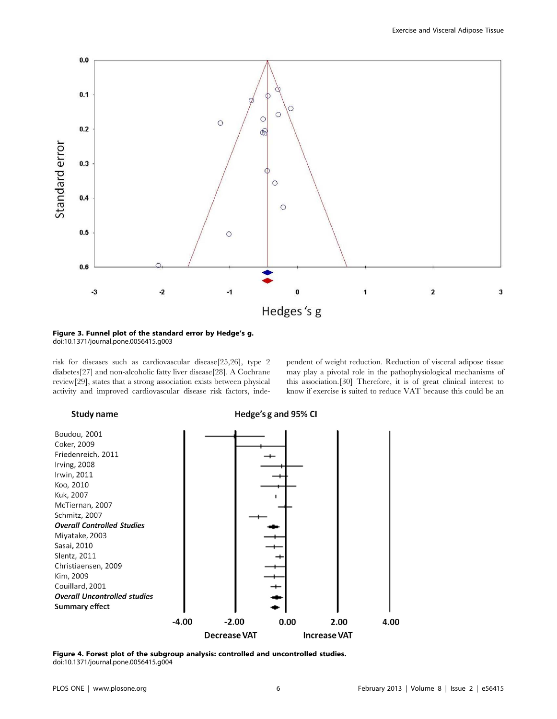

Figure 3. Funnel plot of the standard error by Hedge's g. doi:10.1371/journal.pone.0056415.g003

risk for diseases such as cardiovascular disease[25,26], type 2 diabetes[27] and non-alcoholic fatty liver disease[28]. A Cochrane review[29], states that a strong association exists between physical activity and improved cardiovascular disease risk factors, independent of weight reduction. Reduction of visceral adipose tissue may play a pivotal role in the pathophysiological mechanisms of this association.[30] Therefore, it is of great clinical interest to know if exercise is suited to reduce VAT because this could be an

# Study name

Hedge's g and 95% CI



Figure 4. Forest plot of the subgroup analysis: controlled and uncontrolled studies. doi:10.1371/journal.pone.0056415.g004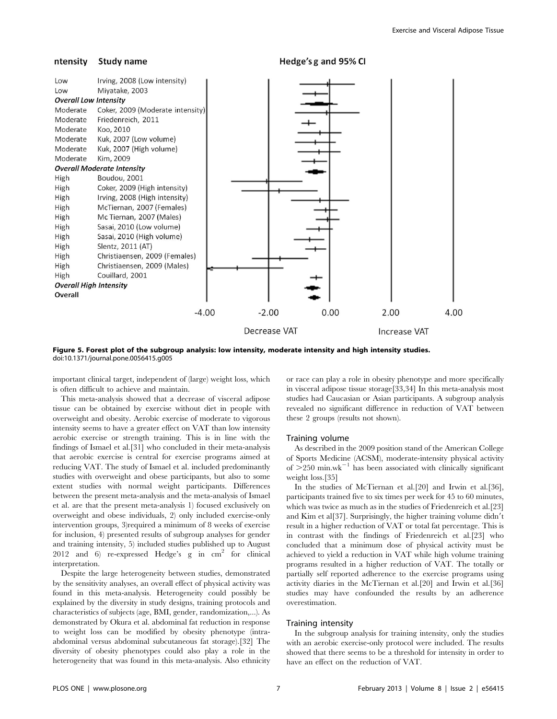#### ntensity Study name

Hedge's g and 95% CI



Figure 5. Forest plot of the subgroup analysis: low intensity, moderate intensity and high intensity studies. doi:10.1371/journal.pone.0056415.g005

important clinical target, independent of (large) weight loss, which is often difficult to achieve and maintain.

This meta-analysis showed that a decrease of visceral adipose tissue can be obtained by exercise without diet in people with overweight and obesity. Aerobic exercise of moderate to vigorous intensity seems to have a greater effect on VAT than low intensity aerobic exercise or strength training. This is in line with the findings of Ismael et al.[31] who concluded in their meta-analysis that aerobic exercise is central for exercise programs aimed at reducing VAT. The study of Ismael et al. included predominantly studies with overweight and obese participants, but also to some extent studies with normal weight participants. Differences between the present meta-analysis and the meta-analysis of Ismael et al. are that the present meta-analysis 1) focused exclusively on overweight and obese individuals, 2) only included exercise-only intervention groups, 3)required a minimum of 8 weeks of exercise for inclusion, 4) presented results of subgroup analyses for gender and training intensity, 5) included studies published up to August 2012 and 6) re-expressed Hedge's  $g$  in  $cm<sup>2</sup>$  for clinical interpretation.

Despite the large heterogeneity between studies, demonstrated by the sensitivity analyses, an overall effect of physical activity was found in this meta-analysis. Heterogeneity could possibly be explained by the diversity in study designs, training protocols and characteristics of subjects (age, BMI, gender, randomization,...). As demonstrated by Okura et al. abdominal fat reduction in response to weight loss can be modified by obesity phenotype (intraabdominal versus abdominal subcutaneous fat storage).[32] The diversity of obesity phenotypes could also play a role in the heterogeneity that was found in this meta-analysis. Also ethnicity or race can play a role in obesity phenotype and more specifically in visceral adipose tissue storage[33,34] In this meta-analysis most studies had Caucasian or Asian participants. A subgroup analysis revealed no significant difference in reduction of VAT between these 2 groups (results not shown).

#### Training volume

As described in the 2009 position stand of the American College of Sports Medicine (ACSM), moderate-intensity physical activity of  $>$ 250 min.wk<sup>-1</sup> has been associated with clinically significant weight loss.[35]

In the studies of McTiernan et al.[20] and Irwin et al.[36], participants trained five to six times per week for 45 to 60 minutes, which was twice as much as in the studies of Friedenreich et al.[23] and Kim et al[37]. Surprisingly, the higher training volume didn't result in a higher reduction of VAT or total fat percentage. This is in contrast with the findings of Friedenreich et al.[23] who concluded that a minimum dose of physical activity must be achieved to yield a reduction in VAT while high volume training programs resulted in a higher reduction of VAT. The totally or partially self reported adherence to the exercise programs using activity diaries in the McTiernan et al.[20] and Irwin et al.[36] studies may have confounded the results by an adherence overestimation.

# Training intensity

In the subgroup analysis for training intensity, only the studies with an aerobic exercise-only protocol were included. The results showed that there seems to be a threshold for intensity in order to have an effect on the reduction of VAT.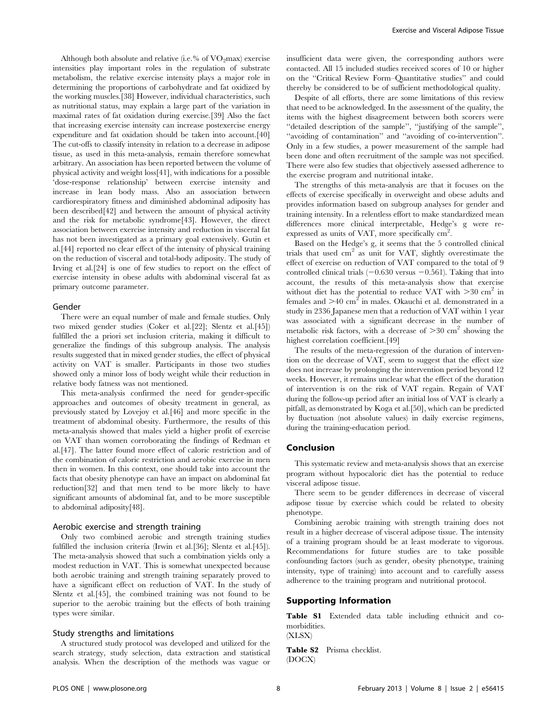Although both absolute and relative (i.e.% of  $VO<sub>2</sub>max$ ) exercise intensities play important roles in the regulation of substrate metabolism, the relative exercise intensity plays a major role in determining the proportions of carbohydrate and fat oxidized by the working muscles.[38] However, individual characteristics, such as nutritional status, may explain a large part of the variation in maximal rates of fat oxidation during exercise.[39] Also the fact that increasing exercise intensity can increase postexercise energy expenditure and fat oxidation should be taken into account.[40] The cut-offs to classify intensity in relation to a decrease in adipose tissue, as used in this meta-analysis, remain therefore somewhat arbitrary. An association has been reported between the volume of physical activity and weight loss[41], with indications for a possible 'dose-response relationship' between exercise intensity and increase in lean body mass. Also an association between cardiorespiratory fitness and diminished abdominal adiposity has been described[42] and between the amount of physical activity and the risk for metabolic syndrome[43]. However, the direct association between exercise intensity and reduction in visceral fat has not been investigated as a primary goal extensively. Gutin et al.[44] reported no clear effect of the intensity of physical training on the reduction of visceral and total-body adiposity. The study of Irving et al.[24] is one of few studies to report on the effect of exercise intensity in obese adults with abdominal visceral fat as primary outcome parameter.

### Gender

There were an equal number of male and female studies. Only two mixed gender studies (Coker et al.[22]; Slentz et al.[45]) fulfilled the a priori set inclusion criteria, making it difficult to generalize the findings of this subgroup analysis. The analysis results suggested that in mixed gender studies, the effect of physical activity on VAT is smaller. Participants in those two studies showed only a minor loss of body weight while their reduction in relative body fatness was not mentioned.

This meta-analysis confirmed the need for gender-specific approaches and outcomes of obesity treatment in general, as previously stated by Lovejoy et al.[46] and more specific in the treatment of abdominal obesity. Furthermore, the results of this meta-analysis showed that males yield a higher profit of exercise on VAT than women corroborating the findings of Redman et al.[47]. The latter found more effect of caloric restriction and of the combination of caloric restriction and aerobic exercise in men then in women. In this context, one should take into account the facts that obesity phenotype can have an impact on abdominal fat reduction[32] and that men tend to be more likely to have significant amounts of abdominal fat, and to be more susceptible to abdominal adiposity[48].

### Aerobic exercise and strength training

Only two combined aerobic and strength training studies fulfilled the inclusion criteria (Irwin et al.[36]; Slentz et al.[45]). The meta-analysis showed that such a combination yields only a modest reduction in VAT. This is somewhat unexpected because both aerobic training and strength training separately proved to have a significant effect on reduction of VAT. In the study of Slentz et al.[45], the combined training was not found to be superior to the aerobic training but the effects of both training types were similar.

### Study strengths and limitations

A structured study protocol was developed and utilized for the search strategy, study selection, data extraction and statistical analysis. When the description of the methods was vague or insufficient data were given, the corresponding authors were contacted. All 15 included studies received scores of 10 or higher on the ''Critical Review Form–Quantitative studies'' and could thereby be considered to be of sufficient methodological quality.

Despite of all efforts, there are some limitations of this review that need to be acknowledged. In the assessment of the quality, the items with the highest disagreement between both scorers were ''detailed description of the sample'', ''justifying of the sample'', ''avoiding of contamination'' and ''avoiding of co-intervention''. Only in a few studies, a power measurement of the sample had been done and often recruitment of the sample was not specified. There were also few studies that objectively assessed adherence to the exercise program and nutritional intake.

The strengths of this meta-analysis are that it focuses on the effects of exercise specifically in overweight and obese adults and provides information based on subgroup analyses for gender and training intensity. In a relentless effort to make standardized mean differences more clinical interpretable, Hedge's g were reexpressed as units of VAT, more specifically  $\text{cm}^2$ .

Based on the Hedge's g, it seems that the 5 controlled clinical trials that used cm2 as unit for VAT, slightly overestimate the effect of exercise on reduction of VAT compared to the total of 9 controlled clinical trials  $(-0.630 \text{ versus } -0.561)$ . Taking that into account, the results of this meta-analysis show that exercise without diet has the potential to reduce VAT with  $>30$  cm<sup>2</sup> in females and  $>40$  cm<sup>2</sup> in males. Okauchi et al. demonstrated in a study in 2336 Japanese men that a reduction of VAT within 1 year was associated with a significant decrease in the number of metabolic risk factors, with a decrease of  $>30$  cm<sup>2</sup> showing the highest correlation coefficient.[49]

The results of the meta-regression of the duration of intervention on the decrease of VAT, seem to suggest that the effect size does not increase by prolonging the intervention period beyond 12 weeks. However, it remains unclear what the effect of the duration of intervention is on the risk of VAT regain. Regain of VAT during the follow-up period after an initial loss of VAT is clearly a pitfall, as demonstrated by Koga et al.[50], which can be predicted by fluctuation (not absolute values) in daily exercise regimens, during the training-education period.

# Conclusion

This systematic review and meta-analysis shows that an exercise program without hypocaloric diet has the potential to reduce visceral adipose tissue.

There seem to be gender differences in decrease of visceral adipose tissue by exercise which could be related to obesity phenotype.

Combining aerobic training with strength training does not result in a higher decrease of visceral adipose tissue. The intensity of a training program should be at least moderate to vigorous. Recommendations for future studies are to take possible confounding factors (such as gender, obesity phenotype, training intensity, type of training) into account and to carefully assess adherence to the training program and nutritional protocol.

#### Supporting Information

Table S1 Extended data table including ethnicit and comorbidities.

(XLSX)

Table S2 Prisma checklist. (DOCX)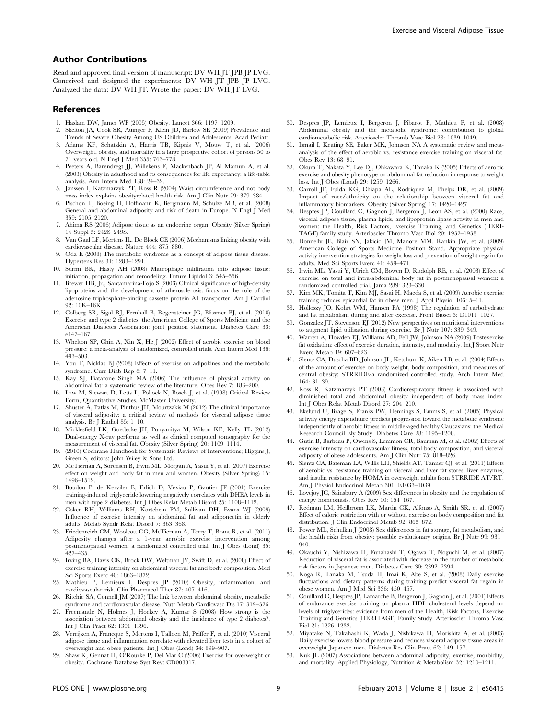# Author Contributions

Read and approved final version of manuscript: DV WH JT JPB JP LVG. Conceived and designed the experiments: DV WH JT JPB JP LVG. Analyzed the data: DV WH JT. Wrote the paper: DV WH JT LVG.

#### References

- 1. Haslam DW, James WP (2005) Obesity. Lancet 366: 1197–1209.
- 2. Skelton JA, Cook SR, Auinger P, Klein JD, Barlow SE (2009) Prevalence and Trends of Severe Obesity Among US Children and Adolescents. Acad Pediatr.
- 3. Adams KF, Schatzkin A, Harris TB, Kipnis V, Mouw T, et al. (2006) Overweight, obesity, and mortality in a large prospective cohort of persons 50 to 71 years old. N Engl J Med 355: 763–778.
- 4. Peeters A, Barendregt JJ, Willekens F, Mackenbach JP, Al Mamun A, et al. (2003) Obesity in adulthood and its consequences for life expectancy: a life-table analysis. Ann Intern Med 138: 24–32.
- 5. Janssen I, Katzmarzyk PT, Ross R (2004) Waist circumference and not body mass index explains obesityrelated health risk. Am J Clin Nutr 79: 379–384.
- 6. Pischon T, Boeing H, Hoffmann K, Bergmann M, Schulze MB, et al. (2008) General and abdominal adiposity and risk of death in Europe. N Engl J Med 359: 2105–2120.
- 7. Ahima RS (2006) Adipose tissue as an endocrine organ. Obesity (Silver Spring) 14 Suppl 5: 242S–249S.
- 8. Van Gaal LF, Mertens IL, De Block CE (2006) Mechanisms linking obesity with cardiovascular disease. Nature 444: 875–880.
- 9. Oda E (2008) The metabolic syndrome as a concept of adipose tissue disease. Hypertens Res 31: 1283–1291.
- 10. Surmi BK, Hasty AH (2008) Macrophage infiltration into adipose tissue: initiation, propagation and remodeling. Future Lipidol 3: 545–556.
- 11. Brewer HB, Jr., Santamarina-Fojo S (2003) Clinical significance of high-density lipoproteins and the development of atherosclerosis: focus on the role of the adenosine triphosphate-binding cassette protein A1 transporter. Am J Cardiol 92: 10K–16K.
- 12. Colberg SR, Sigal RJ, Fernhall B, Regensteiner JG, Blissmer BJ, et al. (2010) Exercise and type 2 diabetes: the American College of Sports Medicine and the American Diabetes Association: joint position statement. Diabetes Care 33: e147–167.
- 13. Whelton SP, Chin A, Xin X, He J (2002) Effect of aerobic exercise on blood pressure: a meta-analysis of randomized, controlled trials. Ann Intern Med 136: 493–503.
- 14. You T, Nicklas BJ (2008) Effects of exercise on adipokines and the metabolic syndrome. Curr Diab Rep 8: 7–11.
- 15. Kay SJ, Fiatarone Singh MA (2006) The influence of physical activity on abdominal fat: a systematic review of the literature. Obes Rev 7: 183–200.
- 16. Law M, Stewart D, Letts L, Pollock N, Bosch J, et al. (1998) Critical Review Form, Quantitative Studies. McMaster University.
- 17. Shuster A, Patlas M, Pinthus JH, Mourtzakis M (2012) The clinical importance of visceral adiposity: a critical review of methods for visceral adipose tissue analysis. Br J Radiol 85: 1–10.
- 18. Micklesfield LK, Goedecke JH, Punyanitya M, Wilson KE, Kelly TL (2012) Dual-energy X-ray performs as well as clinical computed tomography for the measurement of visceral fat. Obesity (Silver Spring) 20: 1109–1114.
- 19. (2010) Cochrane Handbook for Systematic Reviews of Interventions; Higgins J, Green S, editors: John Wiley & Sons Ltd.
- 20. McTiernan A, Sorensen B, Irwin ML, Morgan A, Yasui Y, et al. (2007) Exercise effect on weight and body fat in men and women. Obesity (Silver Spring) 15: 1496–1512.
- 21. Boudou P, de Kerviler E, Erlich D, Vexiau P, Gautier JF (2001) Exercise training-induced triglyceride lowering negatively correlates with DHEA levels in men with type 2 diabetes. Int J Obes Relat Metab Disord 25: 1108–1112.
- 22. Coker RH, Williams RH, Kortebein PM, Sullivan DH, Evans WJ (2009) Influence of exercise intensity on abdominal fat and adiponectin in elderly adults. Metab Syndr Relat Disord 7: 363–368.
- 23. Friedenreich CM, Woolcott CG, McTiernan A, Terry T, Brant R, et al. (2011) Adiposity changes after a 1-year aerobic exercise intervention among postmenopausal women: a randomized controlled trial. Int J Obes (Lond) 35: 427–435.
- 24. Irving BA, Davis CK, Brock DW, Weltman JY, Swift D, et al. (2008) Effect of exercise training intensity on abdominal visceral fat and body composition. Med Sci Sports Exerc 40: 1863–1872.
- 25. Mathieu P, Lemieux I, Despres JP (2010) Obesity, inflammation, and cardiovascular risk. Clin Pharmacol Ther 87: 407–416.
- 26. Ritchie SA, Connell JM (2007) The link between abdominal obesity, metabolic syndrome and cardiovascular disease. Nutr Metab Cardiovasc Dis 17: 319–326.
- 27. Freemantle N, Holmes J, Hockey A, Kumar S (2008) How strong is the association between abdominal obesity and the incidence of type 2 diabetes?. Int J Clin Pract 62: 1391–1396.
- 28. Verrijken A, Francque S, Mertens I, Talloen M, Peiffer F, et al. (2010) Visceral adipose tissue and inflammation correlate with elevated liver tests in a cohort of overweight and obese patients. Int J Obes (Lond) 34: 899–907.
- 29. Shaw K, Gennat H, O'Rourke P, Del Mar C (2006) Exercise for overweight or obesity. Cochrane Database Syst Rev: CD003817.
- 30. Despres JP, Lemieux I, Bergeron J, Pibarot P, Mathieu P, et al. (2008) Abdominal obesity and the metabolic syndrome: contribution to global cardiometabolic risk. Arterioscler Thromb Vasc Biol 28: 1039–1049.
- 31. Ismail I, Keating SE, Baker MK, Johnson NA A systematic review and metaanalysis of the effect of aerobic vs. resistance exercise training on visceral fat. Obes Rev 13: 68–91.
- 32. Okura T, Nakata Y, Lee DJ, Ohkawara K, Tanaka K (2005) Effects of aerobic exercise and obesity phenotype on abdominal fat reduction in response to weight loss. Int J Obes (Lond) 29: 1259–1266.
- 33. Carroll JF, Fulda KG, Chiapa AL, Rodriquez M, Phelps DR, et al. (2009) Impact of race/ethnicity on the relationship between visceral fat and inflammatory biomarkers. Obesity (Silver Spring) 17: 1420–1427.
- 34. Despres JP, Couillard C, Gagnon J, Bergeron J, Leon AS, et al. (2000) Race, visceral adipose tissue, plasma lipids, and lipoprotein lipase activity in men and women: the Health, Risk Factors, Exercise Training, and Genetics (HERI-TAGE) family study. Arterioscler Thromb Vasc Biol 20: 1932–1938.
- 35. Donnelly JE, Blair SN, Jakicic JM, Manore MM, Rankin JW, et al. (2009) American College of Sports Medicine Position Stand. Appropriate physical activity intervention strategies for weight loss and prevention of weight regain for adults. Med Sci Sports Exerc 41: 459–471.
- 36. Irwin ML, Yasui Y, Ulrich CM, Bowen D, Rudolph RE, et al. (2003) Effect of exercise on total and intra-abdominal body fat in postmenopausal women: a randomized controlled trial. Jama 289: 323–330.
- 37. Kim MK, Tomita T, Kim MJ, Sasai H, Maeda S, et al. (2009) Aerobic exercise training reduces epicardial fat in obese men. J Appl Physiol 106: 5–11.
- 38. Holloszy JO, Kohrt WM, Hansen PA (1998) The regulation of carbohydrate and fat metabolism during and after exercise. Front Biosci 3: D1011–1027.
- 39. Gonzalez JT, Stevenson EJ (2012) New perspectives on nutritional interventions to augment lipid utilisation during exercise. Br J Nutr 107: 339–349.
- 40. Warren A, Howden EJ, Williams AD, Fell JW, Johnson NA (2009) Postexercise fat oxidation: effect of exercise duration, intensity, and modality. Int J Sport Nutr Exerc Metab 19: 607–623.
- 41. Slentz CA, Duscha BD, Johnson JL, Ketchum K, Aiken LB, et al. (2004) Effects of the amount of exercise on body weight, body composition, and measures of central obesity: STRRIDE-a randomized controlled study. Arch Intern Med 164: 31–39.
- 42. Ross R, Katzmarzyk PT (2003) Cardiorespiratory fitness is associated with diminished total and abdominal obesity independent of body mass index. Int J Obes Relat Metab Disord 27: 204–210.
- 43. Ekelund U, Brage S, Franks PW, Hennings S, Emms S, et al. (2005) Physical activity energy expenditure predicts progression toward the metabolic syndrome independently of aerobic fitness in middle-aged healthy Caucasians: the Medical Research Council Ely Study. Diabetes Care 28: 1195–1200.
- 44. Gutin B, Barbeau P, Owens S, Lemmon CR, Bauman M, et al. (2002) Effects of exercise intensity on cardiovascular fitness, total body composition, and visceral adiposity of obese adolescents. Am J Clin Nutr 75: 818–826.
- 45. Slentz CA, Bateman LA, Willis LH, Shields AT, Tanner CJ, et al. (2011) Effects of aerobic vs. resistance training on visceral and liver fat stores, liver enzymes, and insulin resistance by HOMA in overweight adults from STRRIDE AT/RT. Am J Physiol Endocrinol Metab 301: E1033–1039.
- 46. Lovejoy JC, Sainsbury A (2009) Sex differences in obesity and the regulation of energy homeostasis. Obes Rev 10: 154–167.
- 47. Redman LM, Heilbronn LK, Martin CK, Alfonso A, Smith SR, et al. (2007) Effect of calorie restriction with or without exercise on body composition and fat distribution. J Clin Endocrinol Metab 92: 865–872.
- 48. Power ML, Schulkin J (2008) Sex differences in fat storage, fat metabolism, and the health risks from obesity: possible evolutionary origins. Br J Nutr 99: 931– 940.
- 49. Okauchi Y, Nishizawa H, Funahashi T, Ogawa T, Noguchi M, et al. (2007) Reduction of visceral fat is associated with decrease in the number of metabolic risk factors in Japanese men. Diabetes Care 30: 2392–2394.
- 50. Koga R, Tanaka M, Tsuda H, Imai K, Abe S, et al. (2008) Daily exercise fluctuations and dietary patterns during training predict visceral fat regain in obese women. Am J Med Sci 336: 450–457.
- 51. Couillard C, Despres JP, Lamarche B, Bergeron J, Gagnon J, et al. (2001) Effects of endurance exercise training on plasma HDL cholesterol levels depend on levels of triglycerides: evidence from men of the Health, Risk Factors, Exercise Training and Genetics (HERITAGE) Family Study. Arterioscler Thromb Vasc Biol 21: 1226–1232.
- 52. Miyatake N, Takahashi K, Wada J, Nishikawa H, Morishita A, et al. (2003) Daily exercise lowers blood pressure and reduces visceral adipose tissue areas in overweight Japanese men. Diabetes Res Clin Pract 62: 149–157.
- 53. Kuk JL (2007) Associations between abdominal adiposity, exercise, morbidity, and mortality. Applied Physiology, Nutrition & Metabolism 32: 1210–1211.